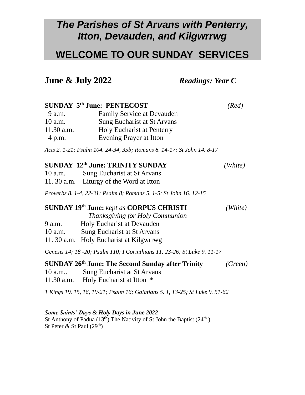## *The Parishes of St Arvans with Penterry, Itton, Devauden, and Kilgwrrwg*

### **WELCOME TO OUR SUNDAY SERVICES**

**June & July 2022** *Readings: Year C*

#### **SUNDAY 5th June: PENTECOST** *(Red)*

| 9 a.m.     | <b>Family Service at Devauden</b> |
|------------|-----------------------------------|
| 10 a.m.    | Sung Eucharist at St Arvans       |
| 11.30 a.m. | <b>Holy Eucharist at Penterry</b> |
| 4 p.m.     | Evening Prayer at Itton           |

*Acts 2. 1-21; Psalm 104. 24-34, 35b; Romans 8. 14-17; St John 14. 8-17*

### **SUNDAY 12th June: TRINITY SUNDAY** *(White)*

| $10$ a.m. | Sung Eucharist at St Arvans              |
|-----------|------------------------------------------|
|           | 11. 30 a.m. Liturgy of the Word at Itton |

*Proverbs 8. 1-4, 22-31; Psalm 8; Romans 5. 1-5; St John 16. 12-15*

#### **SUNDAY 19th June:** *kept as* **CORPUS CHRISTI** *(White)*

 *Thanksgiving for Holy Communion*

- 9 a.m. Holy Eucharist at Devauden
- 10 a.m. Sung Eucharist at St Arvans
- 11. 30 a.m. Holy Eucharist at Kilgwrrwg

*Genesis 14; 18 -20; Psalm 110; I Corinthians 11. 23-26; St Luke 9. 11-17*

#### **SUNDAY 26th June: The Second Sunday after Trinity** *(Green)* 10 a.m.. Sung Eucharist at St Arvans

11.30 a.m. Holy Eucharist at Itton \*

*1 Kings 19. 15, 16, 19-21; Psalm 16; Galatians 5. 1, 13-25; St Luke 9. 51-62*

#### *Some Saints' Days & Holy Days in June 2022*

St Anthony of Padua (13<sup>th</sup>) The Nativity of St John the Baptist (24<sup>th</sup>) St Peter & St Paul  $(29<sup>th</sup>)$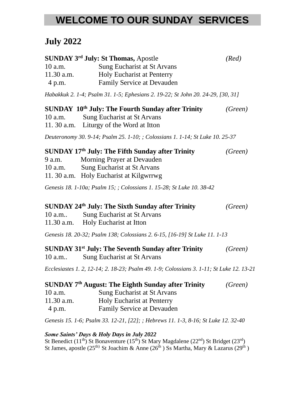# **WELCOME TO OUR SUNDAY SERVICES**

## **July 2022**

| 10 a.m.    | <b>SUNDAY 3<sup>rd</sup> July: St Thomas, Apostle</b><br>Sung Eucharist at St Arvans     | (Red)             |
|------------|------------------------------------------------------------------------------------------|-------------------|
| 11.30 a.m. | <b>Holy Eucharist at Penterry</b>                                                        |                   |
| 4 p.m.     | <b>Family Service at Devauden</b>                                                        |                   |
|            | Habakkuk 2. 1-4; Psalm 31. 1-5; Ephesians 2. 19-22; St John 20. 24-29, [30, 31]          |                   |
|            | SUNDAY 10 <sup>th</sup> July: The Fourth Sunday after Trinity                            | (Green)           |
|            | 10 a.m. Sung Eucharist at St Arvans                                                      |                   |
|            | 11. 30 a.m. Liturgy of the Word at Itton                                                 |                   |
|            | Deuteronomy 30. 9-14; Psalm 25. 1-10; ; Colossians 1. 1-14; St Luke 10. 25-37            |                   |
|            | SUNDAY 17 <sup>th</sup> July: The Fifth Sunday after Trinity                             | (Green)           |
|            | 9 a.m. Morning Prayer at Devauden                                                        |                   |
|            | 10 a.m. Sung Eucharist at St Arvans                                                      |                   |
|            | 11. 30 a.m. Holy Eucharist at Kilgwrrwg                                                  |                   |
|            | Genesis 18. 1-10a; Psalm 15; ; Colossians 1. 15-28; St Luke 10. 38-42                    |                   |
|            | SUNDAY 24 <sup>th</sup> July: The Sixth Sunday after Trinity                             | (Green)           |
|            | 10 a.m Sung Eucharist at St Arvans                                                       |                   |
|            | 11.30 a.m. Holy Eucharist at Itton                                                       |                   |
|            | Genesis 18. 20-32; Psalm 138; Colossians 2. 6-15, [16-19] St Luke 11. 1-13               |                   |
|            | SUNDAY 31st July: The Seventh Sunday after Trinity                                       | (Green)           |
| 10 a.m     | Sung Eucharist at St Arvans                                                              |                   |
|            | Ecclesiastes 1. 2, 12-14; 2. 18-23; Psalm 49. 1-9; Colossians 3. 1-11; St Luke 12. 13-21 |                   |
|            | SUNDAY 7 <sup>th</sup> August: The Eighth Sunday after Trinity                           | (Green)           |
| 10 a.m.    | <b>Sung Eucharist at St Arvans</b>                                                       |                   |
| 11.30 a.m. | <b>Holy Eucharist at Penterry</b>                                                        |                   |
| 4 p.m.     | <b>Family Service at Devauden</b>                                                        |                   |
|            | Genesis 15. 1-6; Psalm 33. 12-21, [22]; ; Hebrews 11. 1-3, 8-16; St Luke 12. 32-40       |                   |
|            | Some Saints' Days & Holy Days in July 2022<br>$\alpha$ ath $\alpha$                      | $\cdots$ $\cdots$ |

St Benedict (11<sup>th</sup>) St Bonaventure (15<sup>th</sup>) St Mary Magdalene (22<sup>nd</sup>) St Bridget (23<sup>rd</sup>) St James, apostle (25<sup>th)</sup> St Joachim & Anne (26<sup>th</sup>) Ss Martha, Mary & Lazarus (29<sup>th</sup>)